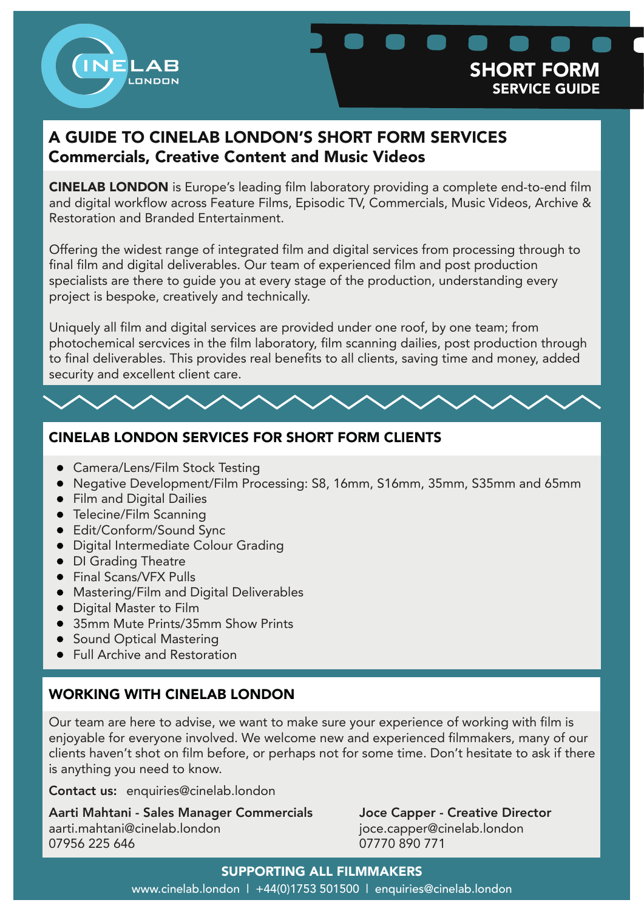



# A GUIDE TO CINELAB LONDON'S SHORT FORM SERVICES Commercials, Creative Content and Music Videos

CINELAB LONDON is Europe's leading film laboratory providing a complete end-to-end film and digital workflow across Feature Films, Episodic TV, Commercials, Music Videos, Archive & Restoration and Branded Entertainment.

Offering the widest range of integrated film and digital services from processing through to final film and digital deliverables. Our team of experienced film and post production specialists are there to guide you at every stage of the production, understanding every project is bespoke, creatively and technically.

Uniquely all film and digital services are provided under one roof, by one team; from photochemical sercvices in the film laboratory, film scanning dailies, post production through to final deliverables. This provides real benefits to all clients, saving time and money, added security and excellent client care.

# CINELAB LONDON SERVICES FOR SHORT FORM CLIENTS

- Camera/Lens/Film Stock Testing
- Negative Development/Film Processing: S8, 16mm, S16mm, 35mm, S35mm and 65mm
- **•** Film and Digital Dailies
- Telecine/Film Scanning
- Edit/Conform/Sound Sync
- Digital Intermediate Colour Grading
- DI Grading Theatre
- Final Scans/VFX Pulls
- Mastering/Film and Digital Deliverables
- Digital Master to Film
- 35mm Mute Prints/35mm Show Prints
- Sound Optical Mastering
- **•** Full Archive and Restoration

# WORKING WITH CINELAB LONDON

Our team are here to advise, we want to make sure your experience of working with film is enjoyable for everyone involved. We welcome new and experienced filmmakers, many of our clients haven't shot on film before, or perhaps not for some time. Don't hesitate to ask if there is anything you need to know.

Contact us: enquiries@cinelab.london

Aarti Mahtani - Sales Manager Commercials Joce Capper - Creative Director aarti.mahtani@cinelab.london joce.capper@cinelab.london 07956 225 646 07770 890 771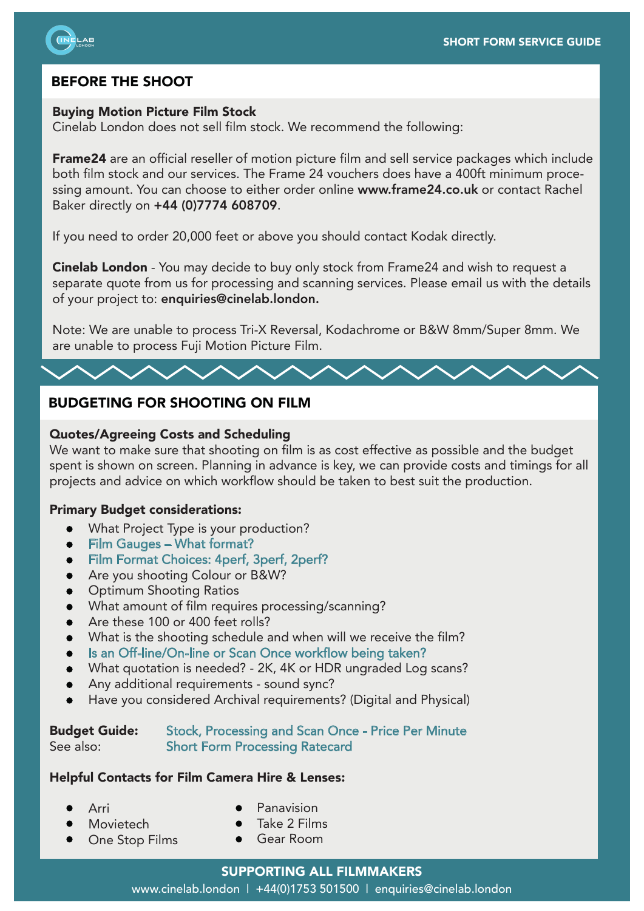

# BEFORE THE SHOOT

## Buying Motion Picture Film Stock

Cinelab London does not sell film stock. We recommend the following:

Frame24 are an official reseller of motion picture film and sell service packages which include both film stock and our services. The Frame 24 vouchers does have a 400ft minimum processing amount. You can choose to either order online www.frame24.co.uk or contact Rachel Baker directly on +44 (0)7774 608709.

If you need to order 20,000 feet or above you should contact Kodak directly.

Cinelab London - You may decide to buy only stock from Frame24 and wish to request a separate quote from us for processing and scanning services. Please email us with the details of your project to: enquiries@cinelab.london.

Note: We are unable to process Tri-X Reversal, Kodachrome or B&W 8mm/Super 8mm. We are unable to process Fuji Motion Picture Film.

# BUDGETING FOR SHOOTING ON FILM

## Quotes/Agreeing Costs and Scheduling

We want to make sure that shooting on film is as cost effective as possible and the budget spent is shown on screen. Planning in advance is key, we can provide costs and timings for all projects and advice on which workflow should be taken to best suit the production.

### Primary Budget considerations:

- **•** What Project Type is your production?
- Film Gauges What format?
- Film Format Choices: 4perf, 3perf, 2perf?
- Are you shooting Colour or B&W?
- **•** Optimum Shooting Ratios
- What amount of film requires processing/scanning?
- Are these 100 or 400 feet rolls?
- What is the shooting schedule and when will we receive the film?
- Is an Off-line/On-line or Scan Once workflow being taken?
- What quotation is needed? 2K, 4K or HDR ungraded Log scans?
- Any additional requirements sound sync?
- Have you considered Archival requirements? (Digital and Physical)

# Budget Guide: Stock, Processing and Scan Once - Price Per Minute See also: Short Form Processing Ratecard

### Helpful Contacts for Film Camera Hire & Lenses:

- Arri
- Movietech
- Panavision
- Take 2 Films
- One Stop Films
- Gear Room

### SUPPORTING ALL FILMMAKERS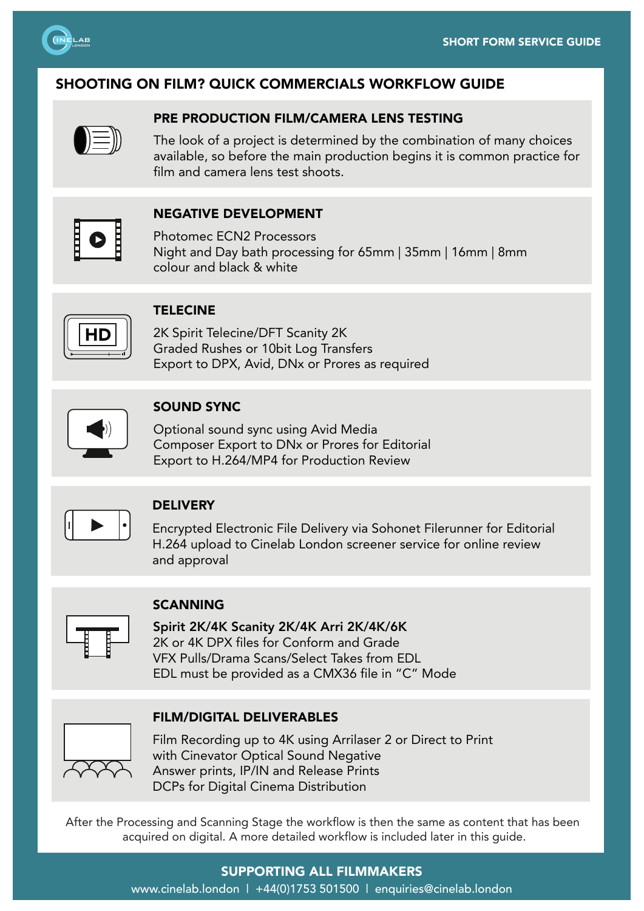

# SHOOTING ON FILM? QUICK COMMERCIALS WORKFLOW GUIDE



# PRE PRODUCTION FILM/CAMERA LENS TESTING

The look of a project is determined by the combination of many choices available, so before the main production begins it is common practice for film and camera lens test shoots.



# NEGATIVE DEVELOPMENT

Photomec ECN2 Processors Night and Day bath processing for 65mm | 35mm | 16mm | 8mm colour and black & white

### TELECINE

2K Spirit Telecine/DFT Scanity 2K Graded Rushes or 10bit Log Transfers Export to DPX, Avid, DNx or Prores as required



### SOUND SYNC

Optional sound sync using Avid Media Composer Export to DNx or Prores for Editorial Export to H.264/MP4 for Production Review



### **DELIVERY**

Encrypted Electronic File Delivery via Sohonet Filerunner for Editorial H.264 upload to Cinelab London screener service for online review and approval



### SCANNING

Spirit 2K/4K Scanity 2K/4K Arri 2K/4K/6K 2K or 4K DPX files for Conform and Grade VFX Pulls/Drama Scans/Select Takes from EDL EDL must be provided as a CMX36 file in "C" Mode

### FILM/DIGITAL DELIVERABLES



Film Recording up to 4K using Arrilaser 2 or Direct to Print with Cinevator Optical Sound Negative Answer prints, IP/IN and Release Prints DCPs for Digital Cinema Distribution

After the Processing and Scanning Stage the workflow is then the same as content that has been acquired on digital. A more detailed workflow is included later in this guide.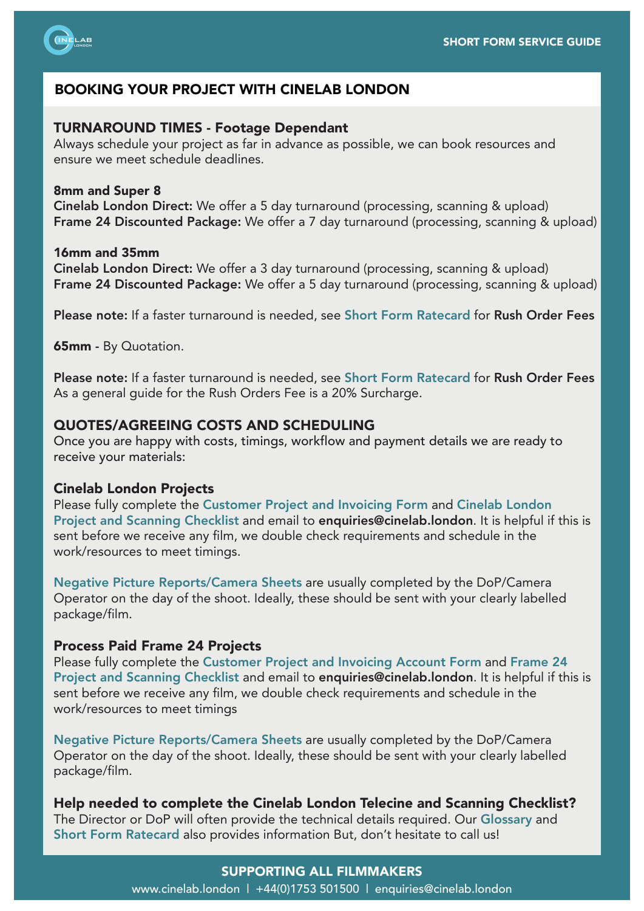

# BOOKING YOUR PROJECT WITH CINELAB LONDON

### TURNAROUND TIMES - Footage Dependant

Always schedule your project as far in advance as possible, we can book resources and ensure we meet schedule deadlines.

### 8mm and Super 8

Cinelab London Direct: We offer a 5 day turnaround (processing, scanning & upload) Frame 24 Discounted Package: We offer a 7 day turnaround (processing, scanning & upload)

### 16mm and 35mm

Cinelab London Direct: We offer a 3 day turnaround (processing, scanning & upload) Frame 24 Discounted Package: We offer a 5 day turnaround (processing, scanning & upload)

Please note: If a faster turnaround is needed, see Short Form Ratecard for Rush Order Fees

**65mm - By Quotation.** 

Please note: If a faster turnaround is needed, see Short Form Ratecard for Rush Order Fees As a general guide for the Rush Orders Fee is a 20% Surcharge.

# QUOTES/AGREEING COSTS AND SCHEDULING

Once you are happy with costs, timings, workflow and payment details we are ready to receive your materials:

#### Cinelab London Projects

Please fully complete the Customer Project and Invoicing Form and Cinelab London Project and Scanning Checklist and email to enquiries@cinelab.london. It is helpful if this is sent before we receive any film, we double check requirements and schedule in the work/resources to meet timings.

Negative Picture Reports/Camera Sheets are usually completed by the DoP/Camera Operator on the day of the shoot. Ideally, these should be sent with your clearly labelled package/film.

### Process Paid Frame 24 Projects

Please fully complete the Customer Project and Invoicing Account Form and Frame 24 Project and Scanning Checklist and email to enquiries@cinelab.london. It is helpful if this is sent before we receive any film, we double check requirements and schedule in the work/resources to meet timings

Negative Picture Reports/Camera Sheets are usually completed by the DoP/Camera Operator on the day of the shoot. Ideally, these should be sent with your clearly labelled package/film.

Help needed to complete the Cinelab London Telecine and Scanning Checklist? The Director or DoP will often provide the technical details required. Our Glossary and Short Form Ratecard also provides information But, don't hesitate to call us!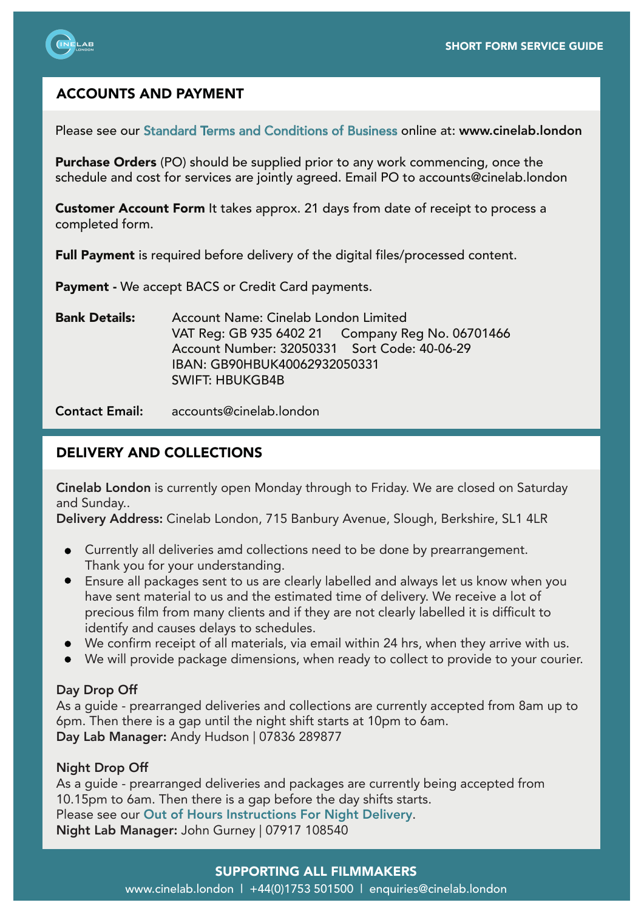

# ACCOUNTS AND PAYMENT

Please see our Standard Terms and Conditions of Business online at: www.cinelab.london

Purchase Orders (PO) should be supplied prior to any work commencing, once the schedule and cost for services are jointly agreed. Email PO to accounts@cinelab.london

Customer Account Form It takes approx. 21 days from date of receipt to process a completed form.

Full Payment is required before delivery of the digital files/processed content.

Payment - We accept BACS or Credit Card payments.

Bank Details: Account Name: Cinelab London Limited VAT Reg: GB 935 6402 21 Company Reg No. 06701466 Account Number: 32050331 Sort Code: 40-06-29 IBAN: GB90HBUK40062932050331 SWIFT: HBUKGB4B

Contact Email: accounts@cinelab.london

# DELIVERY AND COLLECTIONS

Cinelab London is currently open Monday through to Friday. We are closed on Saturday and Sunday..

Delivery Address: Cinelab London, 715 Banbury Avenue, Slough, Berkshire, SL1 4LR

- Currently all deliveries amd collections need to be done by prearrangement. Thank you for your understanding.
- Ensure all packages sent to us are clearly labelled and always let us know when you have sent material to us and the estimated time of delivery. We receive a lot of precious film from many clients and if they are not clearly labelled it is difficult to identify and causes delays to schedules.
- We confirm receipt of all materials, via email within 24 hrs, when they arrive with us.
- We will provide package dimensions, when ready to collect to provide to your courier.

# Day Drop Off

As a guide - prearranged deliveries and collections are currently accepted from 8am up to 6pm. Then there is a gap until the night shift starts at 10pm to 6am. Day Lab Manager: Andy Hudson | 07836 289877

# Night Drop Off

As a guide - prearranged deliveries and packages are currently being accepted from 10.15pm to 6am. Then there is a gap before the day shifts starts. Please see our Out of Hours Instructions For Night Delivery. Night Lab Manager: John Gurney | 07917 108540

# SUPPORTING ALL FILMMAKERS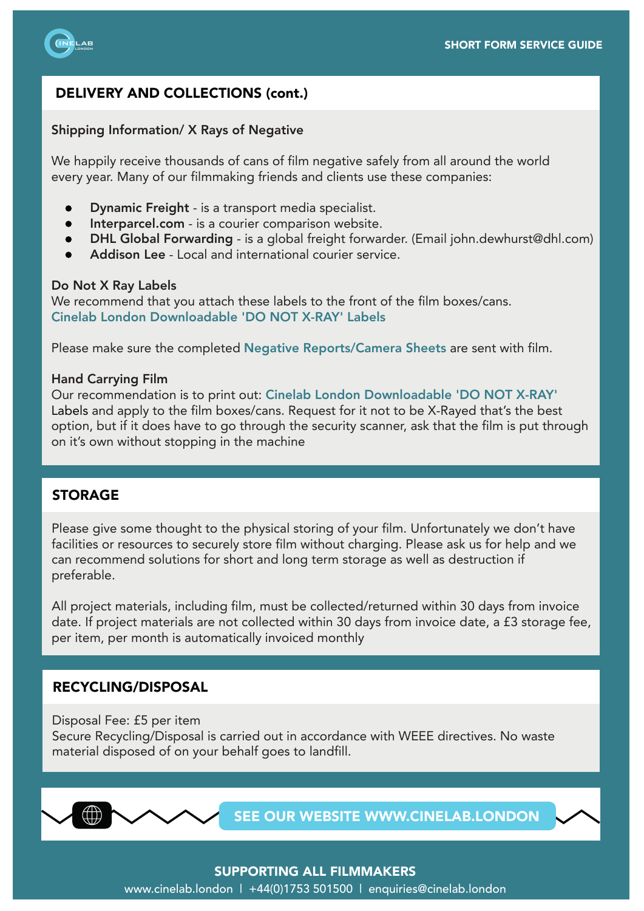

# DELIVERY AND COLLECTIONS (cont.)

### Shipping Information/ X Rays of Negative

We happily receive thousands of cans of film negative safely from all around the world every year. Many of our filmmaking friends and clients use these companies:

- Dynamic Freight is a transport media specialist.
- Interparcel.com is a courier comparison website.
- DHL Global Forwarding is a global freight forwarder. (Email john.dewhurst@dhl.com)
- Addison Lee Local and international courier service.

#### Do Not X Ray Labels

We recommend that you attach these labels to the front of the film boxes/cans. Cinelab London Downloadable 'DO NOT X-RAY' Labels

Please make sure the completed Negative Reports/Camera Sheets are sent with film.

### Hand Carrying Film

Our recommendation is to print out: Cinelab London Downloadable 'DO NOT X-RAY' Labels and apply to the film boxes/cans. Request for it not to be X-Rayed that's the best option, but if it does have to go through the security scanner, ask that the film is put through on it's own without stopping in the machine

# STORAGE

Please give some thought to the physical storing of your film. Unfortunately we don't have facilities or resources to securely store film without charging. Please ask us for help and we can recommend solutions for short and long term storage as well as destruction if preferable.

All project materials, including film, must be collected/returned within 30 days from invoice date. If project materials are not collected within 30 days from invoice date, a £3 storage fee, per item, per month is automatically invoiced monthly

### RECYCLING/DISPOSAL

Disposal Fee: £5 per item Secure Recycling/Disposal is carried out in accordance with WEEE directives. No waste material disposed of on your behalf goes to landfill.



SEE OUR WEBSITE WWW.CINELAB.LONDON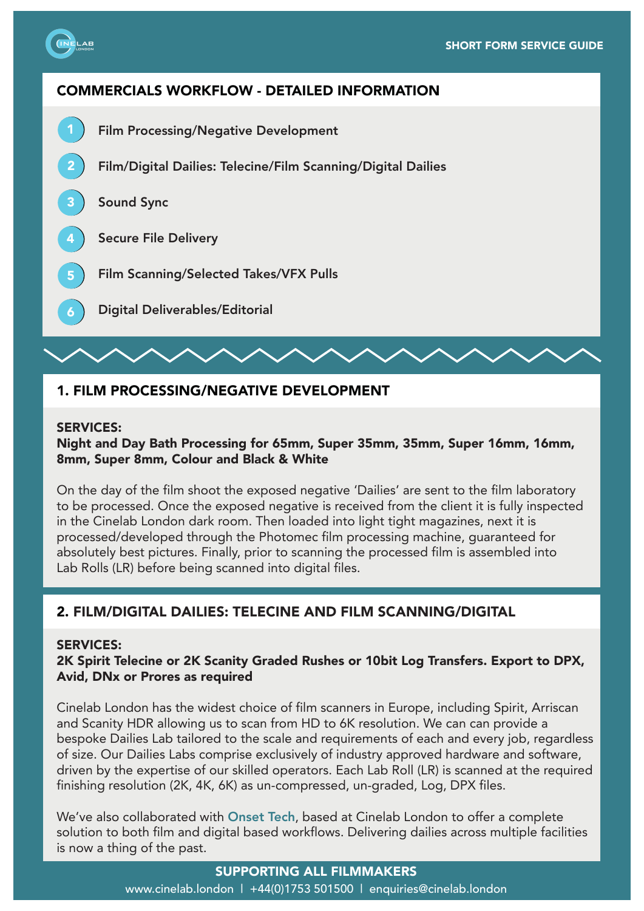

3

6

# COMMERCIALS WORKFLOW - DETAILED INFORMATION

- 1 Film Processing/Negative Development
- 2 Film/Digital Dailies: Telecine/Film Scanning/Digital Dailies

Sound Sync

- 4 Secure File Delivery
- 5 Film Scanning/Selected Takes/VFX Pulls
	- Digital Deliverables/Editorial

# 1. FILM PROCESSING/NEGATIVE DEVELOPMENT

### SERVICES:

## Night and Day Bath Processing for 65mm, Super 35mm, 35mm, Super 16mm, 16mm, 8mm, Super 8mm, Colour and Black & White

On the day of the film shoot the exposed negative 'Dailies' are sent to the film laboratory to be processed. Once the exposed negative is received from the client it is fully inspected in the Cinelab London dark room. Then loaded into light tight magazines, next it is processed/developed through the Photomec film processing machine, guaranteed for absolutely best pictures. Finally, prior to scanning the processed film is assembled into Lab Rolls (LR) before being scanned into digital files.

# 2. FILM/DIGITAL DAILIES: TELECINE AND FILM SCANNING/DIGITAL

## SERVICES:

# 2K Spirit Telecine or 2K Scanity Graded Rushes or 10bit Log Transfers. Export to DPX, Avid, DNx or Prores as required

Cinelab London has the widest choice of film scanners in Europe, including Spirit, Arriscan and Scanity HDR allowing us to scan from HD to 6K resolution. We can can provide a bespoke Dailies Lab tailored to the scale and requirements of each and every job, regardless of size. Our Dailies Labs comprise exclusively of industry approved hardware and software, driven by the expertise of our skilled operators. Each Lab Roll (LR) is scanned at the required finishing resolution (2K, 4K, 6K) as un-compressed, un-graded, Log, DPX files.

We've also collaborated with Onset Tech, based at Cinelab London to offer a complete solution to both film and digital based workflows. Delivering dailies across multiple facilities is now a thing of the past.

# SUPPORTING ALL FILMMAKERS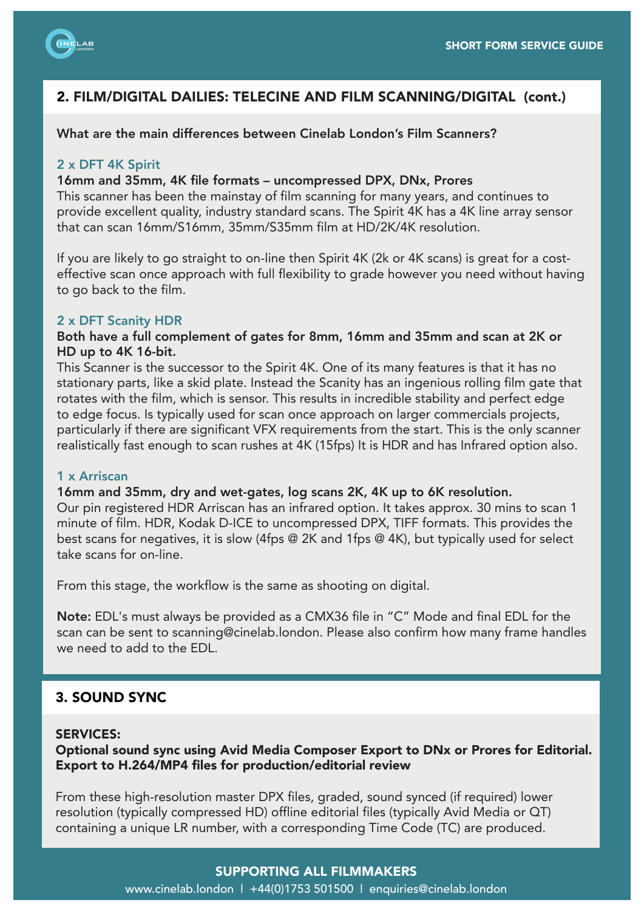

# 2. FILM/DIGITAL DAILIES: TELECINE AND FILM SCANNING/DIGITAL (cont.)

What are the main differences between Cinelab London's Film Scanners?

### 2 x DFT 4K Spirit

### 16mm and 35mm, 4K file formats – uncompressed DPX, DNx, Prores

This scanner has been the mainstay of film scanning for many years, and continues to provide excellent quality, industry standard scans. The Spirit 4K has a 4K line array sensor that can scan 16mm/S16mm, 35mm/S35mm film at HD/2K/4K resolution.

If you are likely to go straight to on-line then Spirit 4K (2k or 4K scans) is great for a costeffective scan once approach with full flexibility to grade however you need without having to go back to the film.

#### 2 x DFT Scanity HDR

### Both have a full complement of gates for 8mm, 16mm and 35mm and scan at 2K or HD up to 4K 16-bit.

This Scanner is the successor to the Spirit 4K. One of its many features is that it has no stationary parts, like a skid plate. Instead the Scanity has an ingenious rolling film gate that rotates with the film, which is sensor. This results in incredible stability and perfect edge to edge focus. Is typically used for scan once approach on larger commercials projects, particularly if there are significant VFX requirements from the start. This is the only scanner realistically fast enough to scan rushes at 4K (15fps) It is HDR and has Infrared option also.

#### 1 x Arriscan

# 16mm and 35mm, dry and wet-gates, log scans 2K, 4K up to 6K resolution.

Our pin registered HDR Arriscan has an infrared option. It takes approx. 30 mins to scan 1 minute of film. HDR, Kodak D-ICE to uncompressed DPX, TIFF formats. This provides the best scans for negatives, it is slow (4fps @ 2K and 1fps @ 4K), but typically used for select take scans for on-line.

From this stage, the workflow is the same as shooting on digital.

Note: EDL's must always be provided as a CMX36 file in "C" Mode and final EDL for the scan can be sent to scanning@cinelab.london. Please also confirm how many frame handles we need to add to the EDL.

### 3. SOUND SYNC

### SERVICES:

Optional sound sync using Avid Media Composer Export to DNx or Prores for Editorial. Export to H.264/MP4 files for production/editorial review

From these high-resolution master DPX files, graded, sound synced (if required) lower resolution (typically compressed HD) offline editorial files (typically Avid Media or QT) containing a unique LR number, with a corresponding Time Code (TC) are produced.

### SUPPORTING ALL FILMMAKERS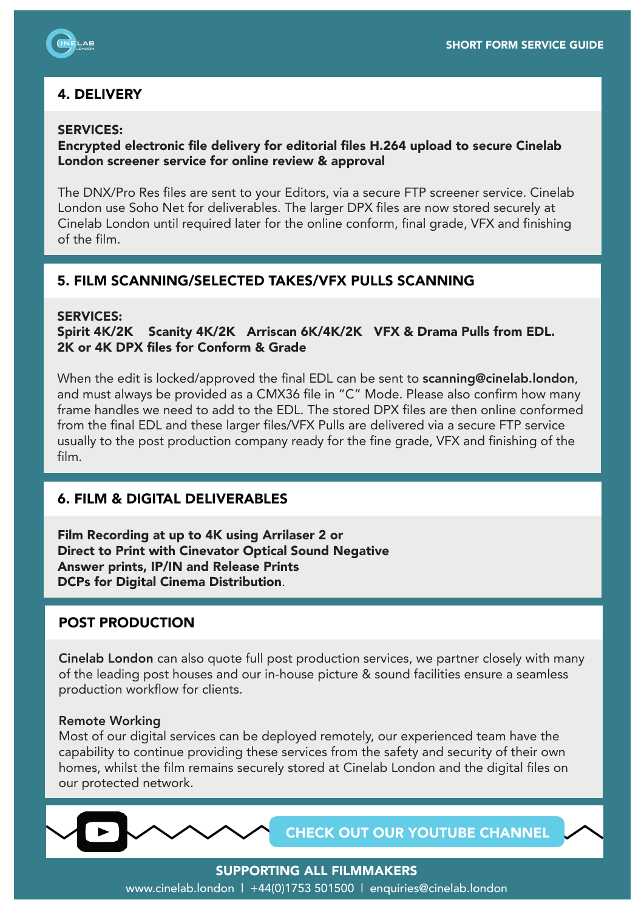

# 4. DELIVERY

## SERVICES:

## Encrypted electronic file delivery for editorial files H.264 upload to secure Cinelab London screener service for online review & approval

The DNX/Pro Res files are sent to your Editors, via a secure FTP screener service. Cinelab London use Soho Net for deliverables. The larger DPX files are now stored securely at Cinelab London until required later for the online conform, final grade, VFX and finishing of the film.

# 5. FILM SCANNING/SELECTED TAKES/VFX PULLS SCANNING

### SERVICES:

Spirit 4K/2K Scanity 4K/2K Arriscan 6K/4K/2K VFX & Drama Pulls from EDL. 2K or 4K DPX files for Conform & Grade

When the edit is locked/approved the final EDL can be sent to **scanning@cinelab.london**, and must always be provided as a CMX36 file in "C" Mode. Please also confirm how many frame handles we need to add to the EDL. The stored DPX files are then online conformed from the final EDL and these larger files/VFX Pulls are delivered via a secure FTP service usually to the post production company ready for the fine grade, VFX and finishing of the film.

# 6. FILM & DIGITAL DELIVERABLES

Film Recording at up to 4K using Arrilaser 2 or Direct to Print with Cinevator Optical Sound Negative Answer prints, IP/IN and Release Prints DCPs for Digital Cinema Distribution.

# POST PRODUCTION

Cinelab London can also quote full post production services, we partner closely with many of the leading post houses and our in-house picture & sound facilities ensure a seamless production workflow for clients.

#### Remote Working

Most of our digital services can be deployed remotely, our experienced team have the capability to continue providing these services from the safety and security of their own homes, whilst the film remains securely stored at Cinelab London and the digital files on our protected network.

CHECK OUT OUR YOUTUBE CHANNEL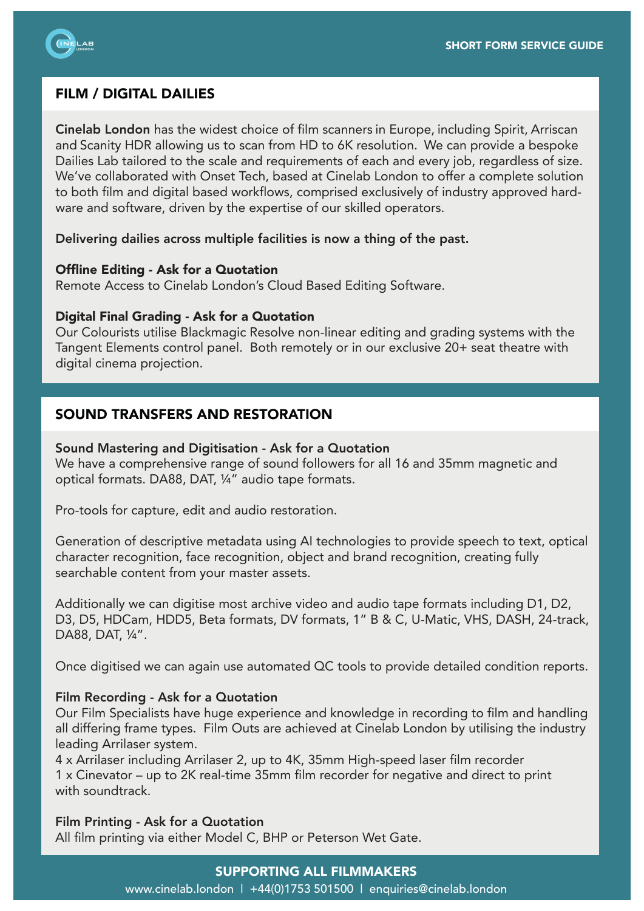

# FILM / DIGITAL DAILIES

Cinelab London has the widest choice of film scanners in Europe, including Spirit, Arriscan and Scanity HDR allowing us to scan from HD to 6K resolution. We can provide a bespoke Dailies Lab tailored to the scale and requirements of each and every job, regardless of size. We've collaborated with Onset Tech, based at Cinelab London to offer a complete solution to both film and digital based workflows, comprised exclusively of industry approved hardware and software, driven by the expertise of our skilled operators.

## Delivering dailies across multiple facilities is now a thing of the past.

## Offline Editing - Ask for a Quotation

Remote Access to Cinelab London's Cloud Based Editing Software.

# Digital Final Grading - Ask for a Quotation

Our Colourists utilise Blackmagic Resolve non-linear editing and grading systems with the Tangent Elements control panel. Both remotely or in our exclusive 20+ seat theatre with digital cinema projection.

# SOUND TRANSFERS AND RESTORATION

## Sound Mastering and Digitisation - Ask for a Quotation

We have a comprehensive range of sound followers for all 16 and 35mm magnetic and optical formats. DA88, DAT, ¼" audio tape formats.

Pro-tools for capture, edit and audio restoration.

Generation of descriptive metadata using AI technologies to provide speech to text, optical character recognition, face recognition, object and brand recognition, creating fully searchable content from your master assets.

Additionally we can digitise most archive video and audio tape formats including D1, D2, D3, D5, HDCam, HDD5, Beta formats, DV formats, 1" B & C, U-Matic, VHS, DASH, 24-track, DA88, DAT, ¼".

Once digitised we can again use automated QC tools to provide detailed condition reports.

# Film Recording - Ask for a Quotation

Our Film Specialists have huge experience and knowledge in recording to film and handling all differing frame types. Film Outs are achieved at Cinelab London by utilising the industry leading Arrilaser system.

4 x Arrilaser including Arrilaser 2, up to 4K, 35mm High-speed laser film recorder 1 x Cinevator – up to 2K real-time 35mm film recorder for negative and direct to print with soundtrack

# Film Printing - Ask for a Quotation

All film printing via either Model C, BHP or Peterson Wet Gate.